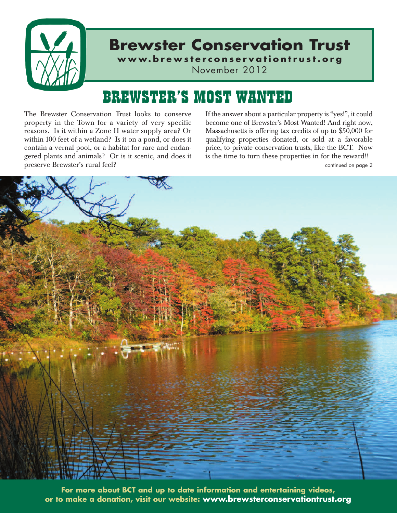

# **Brewster Conservation Trust**

www.brewsterconservationtrust.org

November 2012

# BREWSTER'S MOST WANTED

The Brewster Conservation Trust looks to conserve property in the Town for a variety of very specific reasons. Is it within a Zone II water supply area? Or within 100 feet of a wetland? Is it on a pond, or does it contain a vernal pool, or a habitat for rare and endangered plants and animals? Or is it scenic, and does it preserve Brewster's rural feel?

If the answer about a particular property is "yes!", it could become one of Brewster's Most Wanted! And right now, Massachusetts is offering tax credits of up to \$50,000 for qualifying properties donated, or sold at a favorable price, to private conservation trusts, like the BCT. Now is the time to turn these properties in for the reward!!

continued on page 2



**For more about BCT and up to date information and entertaining videos, or to make a donation, visit our website: www.brewsterconservationtrust.org**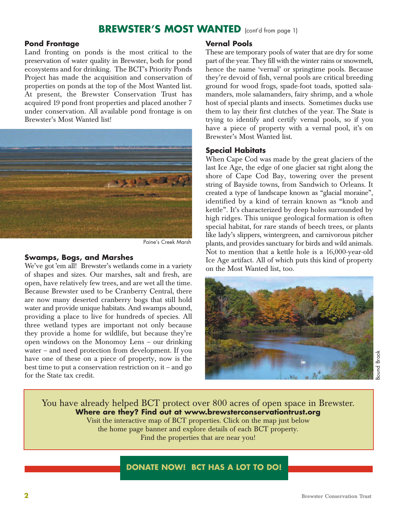## **BREWSTER'S MOST WANTED** (cont'd from page 1)

#### **Pond Frontage**

Land fronting on ponds is the most critical to the preservation of water quality in Brewster, both for pond ecosystems and for drinking. The BCT's Priority Ponds Project has made the acquisition and conservation of properties on ponds at the top of the Most Wanted list. At present, the Brewster Conservation Trust has acquired 19 pond front properties and placed another 7 under conservation. All available pond frontage is on Brewster's Most Wanted list!



Paine's Creek Marsh

#### **Swamps, Bogs, and Marshes**

We've got 'em all! Brewster's wetlands come in a variety of shapes and sizes. Our marshes, salt and fresh, are open, have relatively few trees, and are wet all the time. Because Brewster used to be Cranberry Central, there are now many deserted cranberry bogs that still hold water and provide unique habitats. And swamps abound, providing a place to live for hundreds of species. All three wetland types are important not only because they provide a home for wildlife, but because they're open windows on the Monomoy Lens – our drinking water – and need protection from development. If you have one of these on a piece of property, now is the best time to put a conservation restriction on it – and go for the State tax credit.

#### **Vernal Pools**

These are temporary pools of water that are dry for some part of the year. They fill with the winter rains or snowmelt, hence the name 'vernal' or springtime pools. Because they're devoid of fish, vernal pools are critical breeding ground for wood frogs, spade-foot toads, spotted salamanders, mole salamanders, fairy shrimp, and a whole host of special plants and insects. Sometimes ducks use them to lay their first clutches of the year. The State is trying to identify and certify vernal pools, so if you have a piece of property with a vernal pool, it's on Brewster's Most Wanted list.

#### **Special Habitats**

When Cape Cod was made by the great glaciers of the last Ice Age, the edge of one glacier sat right along the shore of Cape Cod Bay, towering over the present string of Bayside towns, from Sandwich to Orleans. It created a type of landscape known as "glacial moraine", identified by a kind of terrain known as "knob and kettle". It's characterized by deep holes surrounded by high ridges. This unique geological formation is often special habitat, for rare stands of beech trees, or plants like lady's slippers, wintergreen, and carnivorous pitcher plants, and provides sanctuary for birds and wild animals. Not to mention that a kettle hole is a 16,000-year-old Ice Age artifact. All of which puts this kind of property on the Most Wanted list, too.



You have already helped BCT protect over 800 acres of open space in Brewster. **Where are they? Find out at www.brewsterconservationtrust.org** Visit the interactive map of BCT properties. Click on the map just below

the home page banner and explore details of each BCT property. Find the properties that are near you!

#### **DONATE NOW! BCT HAS A LOT TO DO!**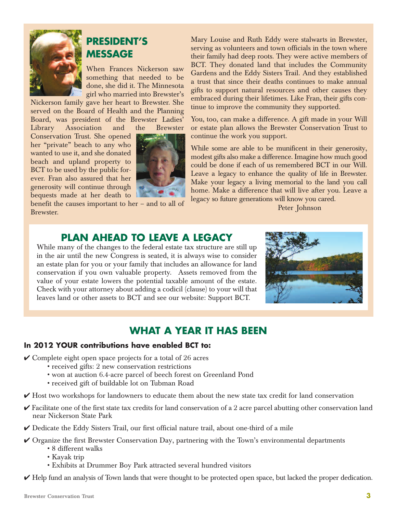

## **PRESIDENT'S MESSAGE**

When Frances Nickerson saw something that needed to be done, she did it. The Minnesota girl who married into Brewster's

Nickerson family gave her heart to Brewster. She served on the Board of Health and the Planning Board, was president of the Brewster Ladies' Library Association and the Brewster

Conservation Trust. She opened her "private" beach to any who wanted to use it, and she donated beach and upland property to BCT to be used by the public forever. Fran also assured that her generosity will continue through bequests made at her death to



benefit the causes important to her – and to all of Brewster.

Mary Louise and Ruth Eddy were stalwarts in Brewster, serving as volunteers and town officials in the town where their family had deep roots. They were active members of BCT. They donated land that includes the Community Gardens and the Eddy Sisters Trail. And they established a trust that since their deaths continues to make annual gifts to support natural resources and other causes they embraced during their lifetimes. Like Fran, their gifts continue to improve the community they supported.

You, too, can make a difference. A gift made in your Will or estate plan allows the Brewster Conservation Trust to continue the work you support.

While some are able to be munificent in their generosity, modest gifts also make a difference. Imagine how much good could be done if each of us remembered BCT in our Will. Leave a legacy to enhance the quality of life in Brewster. Make your legacy a living memorial to the land you call home. Make a difference that will live after you. Leave a legacy so future generations will know you cared.

Peter Johnson

## **PLAN AHEAD TO LEAVE A LEGACY**

While many of the changes to the federal estate tax structure are still up in the air until the new Congress is seated, it is always wise to consider an estate plan for you or your family that includes an allowance for land conservation if you own valuable property. Assets removed from the value of your estate lowers the potential taxable amount of the estate. Check with your attorney about adding a codicil (clause) to your will that leaves land or other assets to BCT and see our website: Support BCT.



## **WHAT A YEAR IT HAS BEEN**

#### **In 2012 YOUR contributions have enabled BCT to:**

**✔** Complete eight open space projects for a total of 26 acres

- received gifts: 2 new conservation restrictions
- won at auction 6.4-acre parcel of beech forest on Greenland Pond
- received gift of buildable lot on Tubman Road
- **✔** Host two workshops for landowners to educate them about the new state tax credit for land conservation
- **✔** Facilitate one of the first state tax credits for land conservation of a 2 acre parcel abutting other conservation land near Nickerson State Park
- **✔** Dedicate the Eddy Sisters Trail, our first official nature trail, about one-third of a mile
- **✔** Organize the first Brewster Conservation Day, partnering with the Town's environmental departments
	- 8 different walks
	- Kayak trip
	- Exhibits at Drummer Boy Park attracted several hundred visitors

**✔** Help fund an analysis of Town lands that were thought to be protected open space, but lacked the proper dedication.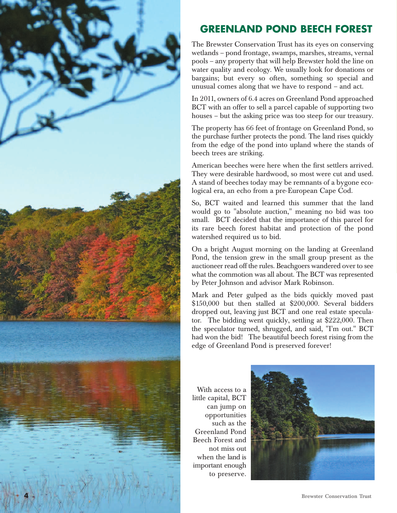

## GREENLAND POND BEECH FOREST

The Brewster Conservation Trust has its eyes on conserving wetlands – pond frontage, swamps, marshes, streams, vernal pools – any property that will help Brewster hold the line on water quality and ecology. We usually look for donations or bargains; but every so often, something so special and unusual comes along that we have to respond – and act.

In 2011, owners of 6.4 acres on Greenland Pond approached BCT with an offer to sell a parcel capable of supporting two houses – but the asking price was too steep for our treasury.

The property has 66 feet of frontage on Greenland Pond, so the purchase further protects the pond. The land rises quickly from the edge of the pond into upland where the stands of beech trees are striking.

American beeches were here when the first settlers arrived. They were desirable hardwood, so most were cut and used. A stand of beeches today may be remnants of a bygone ecological era, an echo from a pre-European Cape Cod.

So, BCT waited and learned this summer that the land would go to "absolute auction," meaning no bid was too small. BCT decided that the importance of this parcel for its rare beech forest habitat and protection of the pond watershed required us to bid.

On a bright August morning on the landing at Greenland Pond, the tension grew in the small group present as the auctioneer read off the rules. Beachgoers wandered over to see what the commotion was all about. The BCT was represented by Peter Johnson and advisor Mark Robinson.

Mark and Peter gulped as the bids quickly moved past \$150,000 but then stalled at \$200,000. Several bidders dropped out, leaving just BCT and one real estate speculator. The bidding went quickly, settling at \$222,000. Then the speculator turned, shrugged, and said, "I'm out." BCT had won the bid! The beautiful beech forest rising from the edge of Greenland Pond is preserved forever!

With access to a little capital, BCT c a n j u m p o n opportunities s u c h a s t h e Greenland Pond Beech Forest and not miss out when the land is important enough to preserve.

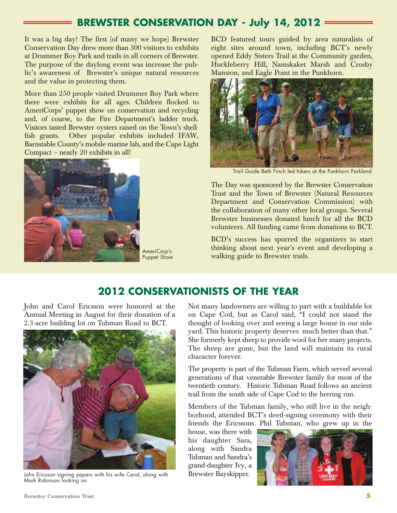## **BREWSTER CONSERVATION DAY - July 14, 2012**

It was a big day! The first (of many we hope) Brewster Conservation Day drew more than 300 visitors to exhibits at Drummer Boy Park and trails in all corners of Brewster. The purpose of the daylong event was increase the public's awareness of Brewster's unique natural resources and the value in protecting them.

More than 250 people visited Drummer Boy Park where there were exhibits for all ages. Children flocked to AmeriCorps' puppet show on conservation and recycling and, of course, to the Fire Department's ladder truck. Visitors tasted Brewster oysters raised on the Town's shellfish grants. Other popular exhibits included IFAW, Barnstable County's mobile marine lab, and the Cape Light Compact – nearly 20 exhibits in all!



Puppet Show

BCD featured tours guided by area naturalists of eight sites around town, including BCT's newly opened Eddy Sisters Trail at the Community garden, Huckleberry Hill, Namskaket Marsh and Crosby Mansion, and Eagle Point in the Punkhorn.



Trail Guide Beth Finch led hikers at the Punkhorn Parkland

The Day was sponsored by the Brewster Conservation Trust and the Town of Brewster (Natural Resources Department and Conservation Commission) with the collaboration of many other local groups. Several Brewster businesses donated lunch for all the BCD volunteers. All funding came from donations to BCT.

BCD's success has spurred the organizers to start thinking about next year's event and developing a AmeriCorp's and the total text year's even<br>Puppet Show **and Walking guide to Brewster trails.** 

## **2012 CONSERVATIONISTS OF THE YEAR**

John and Carol Ericsson were honored at the Annual Meeting in August for their donation of a 2.3-acre building lot on Tubman Road to BCT.



John Ericsson signing papers with his wife Carol, along with Mark Robinson looking on

Not many landowners are willing to part with a buildable lot on Cape Cod, but as Carol said, "I could not stand the thought of looking over and seeing a large house in our side yard. This historic property deserves much better than that." She formerly kept sheep to provide wool for her many projects. The sheep are gone, but the land will maintain its rural character forever.

The property is part of the Tubman Farm, which served several generations of that venerable Brewster family for most of the twentieth century. Historic Tubman Road follows an ancient trail from the south side of Cape Cod to the herring run.

Members of the Tubman family, who still live in the neighborhood, attended BCT's deed-signing ceremony with their friends the Ericssons. Phil Tubman, who grew up in the

house, was there with his daughter Sara, along with Sandra Tubman and Sandra's grand-daughter Ivy, a Brewster Bayskipper.

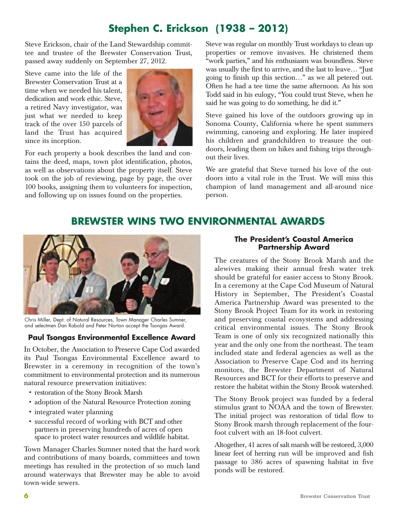## **Stephen C. Erickson (1938 – 2012)**

Steve Erickson, chair of the Land Stewardship committee and trustee of the Brewster Conservation Trust, passed away suddenly on September 27, 2012.

Steve came into the life of the Brewster Conservation Trust at a time when we needed his talent, dedication and work ethic. Steve, a retired Navy investigator, was just what we needed to keep track of the over 150 parcels of land the Trust has acquired since its inception.



For each property a book describes the land and contains the deed, maps, town plot identification, photos, as well as observations about the property itself. Steve took on the job of reviewing, page by page, the over 100 books, assigning them to volunteers for inspection, and following up on issues found on the properties.

Steve was regular on monthly Trust workdays to clean up properties or remove invasives. He christened them "work parties," and his enthusiasm was boundless. Steve was usually the first to arrive, and the last to leave… "Just going to finish up this section…" as we all petered out. Often he had a tee time the same afternoon. As his son Todd said in his eulogy, "You could trust Steve, when he said he was going to do something, he did it."

Steve gained his love of the outdoors growing up in Sonoma County, California where he spent summers swimming, canoeing and exploring. He later inspired his children and grandchildren to treasure the outdoors, leading them on hikes and fishing trips throughout their lives.

We are grateful that Steve turned his love of the outdoors into a vital role in the Trust. We will miss this champion of land management and all-around nice person.

## **BREWSTER WINS TWO ENVIRONMENTAL AWARDS**



Chris Miller, Dept. of Natural Resources, Town Manager Charles Sumner, and selectmen Dan Rabold and Peter Norton accept the Tsongas Award.

#### **Paul Tsongas Environmental Excellence Award**

In October, the Association to Preserve Cape Cod awarded its Paul Tsongas Environmental Excellence award to Brewster in a ceremony in recognition of the town's commitment to environmental protection and its numerous natural resource preservation initiatives:

- restoration of the Stony Brook Marsh
- adoption of the Natural Resource Protection zoning
- integrated water planning
- successful record of working with BCT and other partners in preserving hundreds of acres of open space to protect water resources and wildlife habitat.

Town Manager Charles Sumner noted that the hard work and contributions of many boards, committees and town meetings has resulted in the protection of so much land around waterways that Brewster may be able to avoid town-wide sewers.

#### **The President's Coastal America Partnership Award**

The creatures of the Stony Brook Marsh and the alewives making their annual fresh water trek should be grateful for easier access to Stony Brook. In a ceremony at the Cape Cod Museum of Natural History in September, The President's Coastal America Partnership Award was presented to the Stony Brook Project Team for its work in restoring and preserving coastal ecosystems and addressing critical environmental issues. The Stony Brook Team is one of only six recognized nationally this year and the only one from the northeast. The team included state and federal agencies as well as the Association to Preserve Cape Cod and its herring monitors, the Brewster Department of Natural Resources and BCT for their efforts to preserve and restore the habitat within the Stony Brook watershed.

The Stony Brook project was funded by a federal stimulus grant to NOAA and the town of Brewster. The initial project was restoration of tidal flow to Stony Brook marsh through replacement of the fourfoot culvert with an 18-foot culvert.

Altogether, 41 acres of salt marsh will be restored, 3,000 linear feet of herring run will be improved and fish passage to 386 acres of spawning habitat in five ponds will be restored.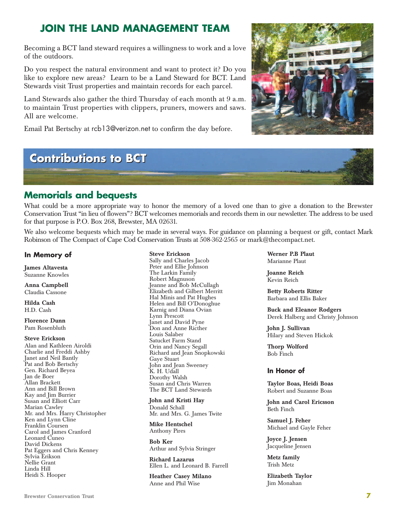## **JOIN THE LAND MANAGEMENT TEAM**

Becoming a BCT land steward requires a willingness to work and a love of the outdoors.

Do you respect the natural environment and want to protect it? Do you like to explore new areas? Learn to be a Land Steward for BCT. Land Stewards visit Trust properties and maintain records for each parcel.

Land Stewards also gather the third Thursday of each month at 9 a.m. to maintain Trust properties with clippers, pruners, mowers and saws. All are welcome.

Email Pat Bertschy at rcb13@verizon.net to confirm the day before.



# **Contributions to BCT**

## **Memorials and bequests**

What could be a more appropriate way to honor the memory of a loved one than to give a donation to the Brewster Conservation Trust "in lieu of flowers"? BCT welcomes memorials and records them in our newsletter. The address to be used for that purpose is P.O. Box 268, Brewster, MA 02631.

We also welcome bequests which may be made in several ways. For guidance on planning a bequest or gift, contact Mark Robinson of The Compact of Cape Cod Conservation Trusts at 508-362-2565 or mark@thecompact.net.

#### **In Memory of**

**James Altavesta** Suzanne Knowles

**Anna Campbell** Claudia Cassone

**Hilda Cash** H.D. Cash

**Florence Dunn** Pam Rosenbluth

#### **Steve Erickson**

Alan and Kathleen Airoldi Charlie and Freddi Ashby Janet and Neil Bantly Pat and Bob Bertschy Gen. Richard Beyea Jan de Boer Allan Brackett Ann and Bill Brown Kay and Jim Burrier Susan and Elliott Carr Marian Cawley Mr. and Mrs. Harry Christopher Ken and Lynn Cline Franklin Coursen Carol and James Cranford Leonard Cuneo David Dickens Pat Eggers and Chris Kenney Sylvia Erikson Nellie Grant Linda Hill Heidi S. Hooper

**Steve Erickson** Sally and Charles Jacob Peter and Ellie Johnson The Larkin Family Robert Magnuson Jeanne and Bob McCullagh Elizabeth and Gilbert Merritt Hal Minis and Pat Hughes Helen and Bill O'Donoghue Karnig and Diana Ovian Lynn Prescott Janet and David Pyne Don and Anne Ricther Louis Salaber Satucket Farm Stand Orin and Nancy Segall Richard and Jean Snopkowski Gaye Stuart John and Jean Sweeney K. H. Udall Dorothy Walsh Susan and Chris Warren The BCT Land Stewards

**John and Kristi Hay** Donald Schall Mr. and Mrs. G. James Twite

**Mike Hentschel** Anthony Pires

**Bob Ker** Arthur and Sylvia Stringer

**Richard Lazarus** Ellen L. and Leonard B. Farrell

**Heather Casey Milano** Anne and Phil Wise

**Werner P.B Plaut** Marianne Plaut

**Joanne Reich** Kevin Reich

**Betty Roberts Ritter** Barbara and Ellis Baker

**Buck and Eleanor Rodgers** Derek Halberg and Christy Johnson

**John J. Sullivan** Hilary and Steven Hickok

**Thorp Wolford** Bob Finch

#### **In Honor of**

**Taylor Boas, Heidi Boas** Robert and Suzanne Boas

**John and Carol Ericsson** Beth Finch

**Samuel J. Feher** Michael and Gayle Feher

**Joyce J. Jensen** Jacqueline Jensen

**Metz family** Trish Metz

**Elizabeth Taylor** Jim Monahan